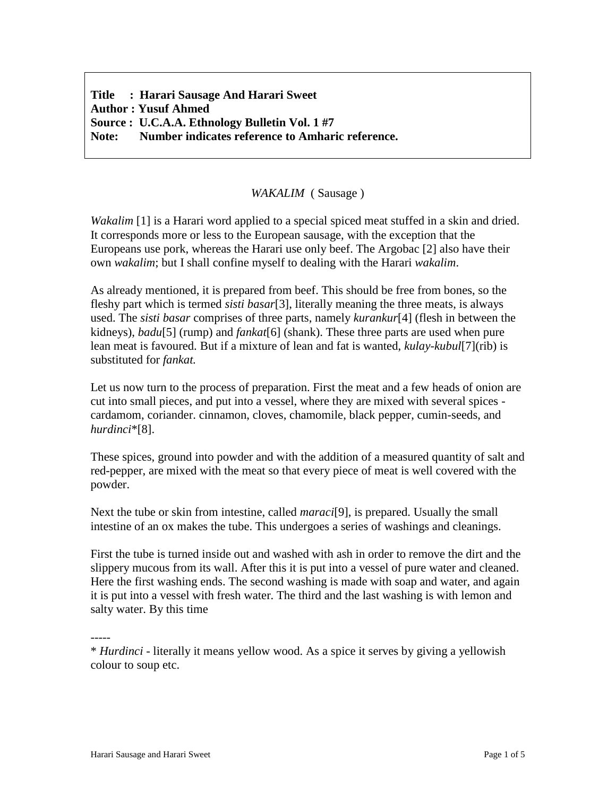**Title : Harari Sausage And Harari Sweet Author : Yusuf Ahmed Source : U.C.A.A. Ethnology Bulletin Vol. 1 #7 Note: Number indicates reference to Amharic reference.**

## *WAKALIM* ( Sausage )

*Wakalim* [1] is a Harari word applied to a special spiced meat stuffed in a skin and dried. It corresponds more or less to the European sausage, with the exception that the Europeans use pork, whereas the Harari use only beef. The Argobac [2] also have their own *wakalim*; but I shall confine myself to dealing with the Harari *wakalim*.

As already mentioned, it is prepared from beef. This should be free from bones, so the fleshy part which is termed *sisti basar*[3], literally meaning the three meats, is always used. The *sisti basar* comprises of three parts, namely *kurankur*[4] (flesh in between the kidneys), *badu*[5] (rump) and *fankat*[6] (shank). These three parts are used when pure lean meat is favoured. But if a mixture of lean and fat is wanted, *kulay-kubul*[7](rib) is substituted for *fankat.*

Let us now turn to the process of preparation. First the meat and a few heads of onion are cut into small pieces, and put into a vessel, where they are mixed with several spices cardamom, coriander. cinnamon, cloves, chamomile, black pepper, cumin-seeds, and *hurdinci*\*[8].

These spices, ground into powder and with the addition of a measured quantity of salt and red-pepper, are mixed with the meat so that every piece of meat is well covered with the powder.

Next the tube or skin from intestine, called *maraci*[9], is prepared. Usually the small intestine of an ox makes the tube. This undergoes a series of washings and cleanings.

First the tube is turned inside out and washed with ash in order to remove the dirt and the slippery mucous from its wall. After this it is put into a vessel of pure water and cleaned. Here the first washing ends. The second washing is made with soap and water, and again it is put into a vessel with fresh water. The third and the last washing is with lemon and salty water. By this time

-----

<sup>\*</sup> *Hurdinci* - literally it means yellow wood. As a spice it serves by giving a yellowish colour to soup etc.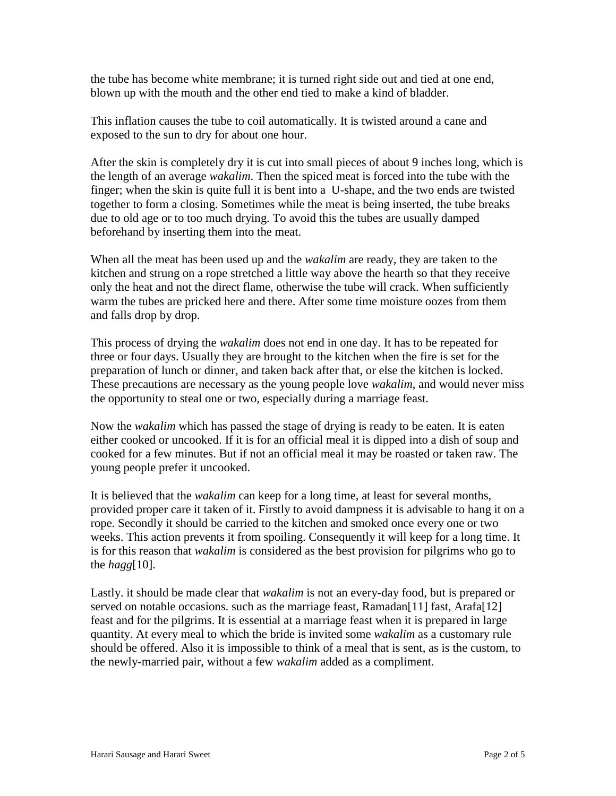the tube has become white membrane; it is turned right side out and tied at one end, blown up with the mouth and the other end tied to make a kind of bladder.

This inflation causes the tube to coil automatically. It is twisted around a cane and exposed to the sun to dry for about one hour.

After the skin is completely dry it is cut into small pieces of about 9 inches long, which is the length of an average *wakalim*. Then the spiced meat is forced into the tube with the finger; when the skin is quite full it is bent into a U-shape, and the two ends are twisted together to form a closing. Sometimes while the meat is being inserted, the tube breaks due to old age or to too much drying. To avoid this the tubes are usually damped beforehand by inserting them into the meat.

When all the meat has been used up and the *wakalim* are ready, they are taken to the kitchen and strung on a rope stretched a little way above the hearth so that they receive only the heat and not the direct flame, otherwise the tube will crack. When sufficiently warm the tubes are pricked here and there. After some time moisture oozes from them and falls drop by drop.

This process of drying the *wakalim* does not end in one day. It has to be repeated for three or four days. Usually they are brought to the kitchen when the fire is set for the preparation of lunch or dinner, and taken back after that, or else the kitchen is locked. These precautions are necessary as the young people love *wakalim*, and would never miss the opportunity to steal one or two, especially during a marriage feast.

Now the *wakalim* which has passed the stage of drying is ready to be eaten. It is eaten either cooked or uncooked. If it is for an official meal it is dipped into a dish of soup and cooked for a few minutes. But if not an official meal it may be roasted or taken raw. The young people prefer it uncooked.

It is believed that the *wakalim* can keep for a long time, at least for several months, provided proper care it taken of it. Firstly to avoid dampness it is advisable to hang it on a rope. Secondly it should be carried to the kitchen and smoked once every one or two weeks. This action prevents it from spoiling. Consequently it will keep for a long time. It is for this reason that *wakalim* is considered as the best provision for pilgrims who go to the *hagg*[10].

Lastly. it should be made clear that *wakalim* is not an every-day food, but is prepared or served on notable occasions. such as the marriage feast,  $\text{Ramadan}[11]$  fast,  $\text{Arafaf}[12]$ feast and for the pilgrims. It is essential at a marriage feast when it is prepared in large quantity. At every meal to which the bride is invited some *wakalim* as a customary rule should be offered. Also it is impossible to think of a meal that is sent, as is the custom, to the newly-married pair, without a few *wakalim* added as a compliment.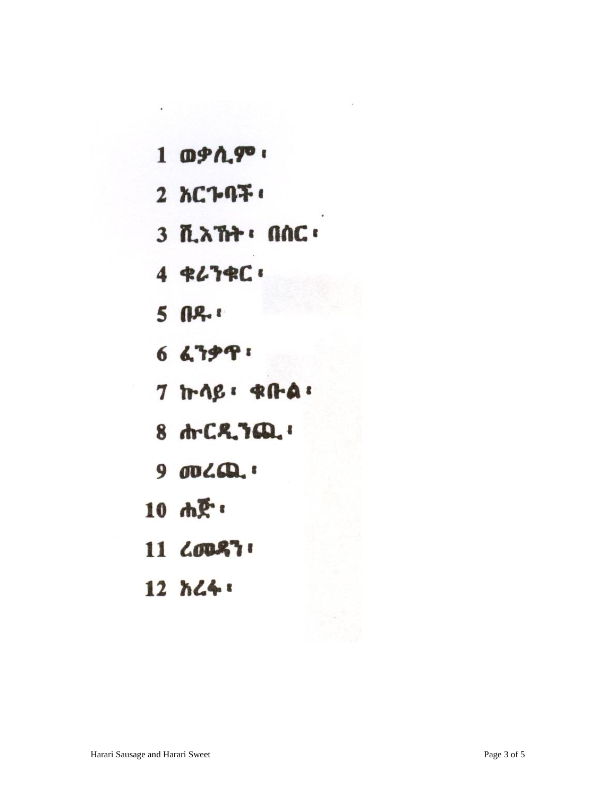- 1 ወቃሲም ፡
- 2 አርጉባች ፡
- 3 ሺአኸት : በሰር ፡
- 4 ቁሪንቁር:
- $5$   $04$
- 6 ፈንቃዋ:
- $7$   $\text{tr }$   $\text{Re }$   $\cdot$   $\text{Re }$   $\cdot$
- 8 ሐ. C.R. ንጪ.
- $900LQ$ :
- 10 ሐጅ.
- 11 LODS7
- 12 አሬፋ፡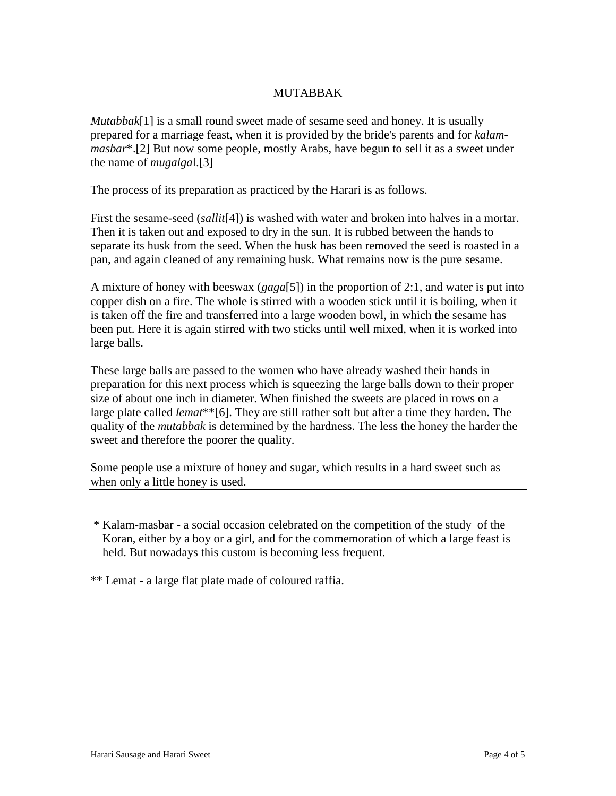## MUTABBAK

*Mutabbak*[1] is a small round sweet made of sesame seed and honey. It is usually prepared for a marriage feast, when it is provided by the bride's parents and for *kalammasbar*\*.[2] But now some people, mostly Arabs, have begun to sell it as a sweet under the name of *mugalga*l.[3]

The process of its preparation as practiced by the Harari is as follows.

First the sesame-seed (*sallit*[4]) is washed with water and broken into halves in a mortar. Then it is taken out and exposed to dry in the sun. It is rubbed between the hands to separate its husk from the seed. When the husk has been removed the seed is roasted in a pan, and again cleaned of any remaining husk. What remains now is the pure sesame.

A mixture of honey with beeswax (*gaga*[5]) in the proportion of 2:1, and water is put into copper dish on a fire. The whole is stirred with a wooden stick until it is boiling, when it is taken off the fire and transferred into a large wooden bowl, in which the sesame has been put. Here it is again stirred with two sticks until well mixed, when it is worked into large balls.

These large balls are passed to the women who have already washed their hands in preparation for this next process which is squeezing the large balls down to their proper size of about one inch in diameter. When finished the sweets are placed in rows on a large plate called *lemat*\*\*[6]. They are still rather soft but after a time they harden. The quality of the *mutabbak* is determined by the hardness. The less the honey the harder the sweet and therefore the poorer the quality.

Some people use a mixture of honey and sugar, which results in a hard sweet such as when only a little honey is used.

\* Kalam-masbar - a social occasion celebrated on the competition of the study of the Koran, either by a boy or a girl, and for the commemoration of which a large feast is held. But nowadays this custom is becoming less frequent.

\*\* Lemat - a large flat plate made of coloured raffia.